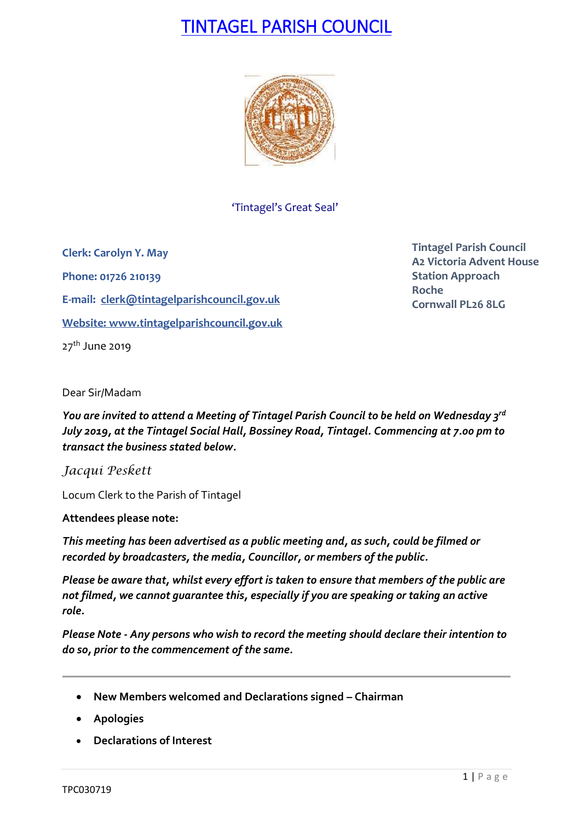# TINTAGEL PARISH COUNCIL



'Tintagel's Great Seal'

**Clerk: Carolyn Y. May Phone: 01726 210139 E-mail: [clerk@tintagelparishcouncil.gov.uk](mailto:clerk@tintagelparishcouncil.gov.uk) Website: [www.tintagelparishcouncil.gov.uk](http://www.tintagelparishcouncil.gov.uk/)** 27<sup>th</sup> June 2019

**Tintagel Parish Council A2 Victoria Advent House Station Approach Roche Cornwall PL26 8LG**

Dear Sir/Madam

*You are invited to attend a Meeting of Tintagel Parish Council to be held on Wednesday 3 rd July 2019, at the Tintagel Social Hall, Bossiney Road, Tintagel. Commencing at 7.00 pm to transact the business stated below.*

*Jacqui Peskett*

Locum Clerk to the Parish of Tintagel

**Attendees please note:**

*This meeting has been advertised as a public meeting and, as such, could be filmed or recorded by broadcasters, the media, Councillor, or members of the public.*

*Please be aware that, whilst every effort is taken to ensure that members of the public are not filmed, we cannot guarantee this, especially if you are speaking or taking an active role.*

*Please Note - Any persons who wish to record the meeting should declare their intention to do so, prior to the commencement of the same.*

- **New Members welcomed and Declarations signed – Chairman**
- **Apologies**
- **Declarations of Interest**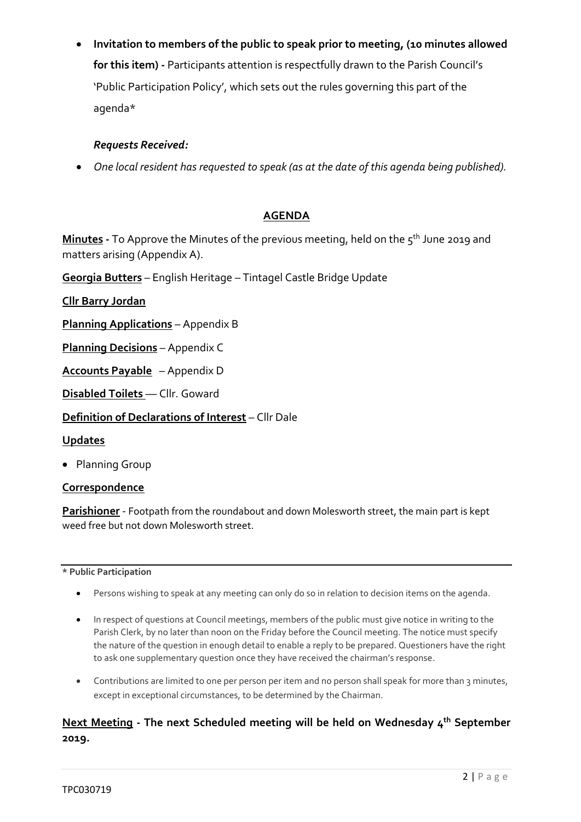• **Invitation to members of the public to speak prior to meeting, (10 minutes allowed for this item) -** Participants attention is respectfully drawn to the Parish Council's 'Public Participation Policy', which sets out the rules governing this part of the agenda\*

## *Requests Received:*

• *One local resident has requested to speak (as at the date of this agenda being published).*

## **AGENDA**

**Minutes -** To Approve the Minutes of the previous meeting, held on the 5 th June 2019 and matters arising (Appendix A).

**Georgia Butters** – English Heritage – Tintagel Castle Bridge Update

**Cllr Barry Jordan**

**Planning Applications** – Appendix B

**Planning Decisions** – Appendix C

**Accounts Payable** – Appendix D

**Disabled Toilets** –– Cllr. Goward

**Definition of Declarations of Interest** – Cllr Dale

### **Updates**

• Planning Group

### **Correspondence**

**Parishioner** - Footpath from the roundabout and down Molesworth street, the main part is kept weed free but not down Molesworth street.

### **\* Public Participation**

- Persons wishing to speak at any meeting can only do so in relation to decision items on the agenda.
- In respect of questions at Council meetings, members of the public must give notice in writing to the Parish Clerk, by no later than noon on the Friday before the Council meeting. The notice must specify the nature of the question in enough detail to enable a reply to be prepared. Questioners have the right to ask one supplementary question once they have received the chairman's response.
- Contributions are limited to one per person per item and no person shall speak for more than 3 minutes, except in exceptional circumstances, to be determined by the Chairman.

# **Next Meeting - The next Scheduled meeting will be held on Wednesday 4 th September 2019.**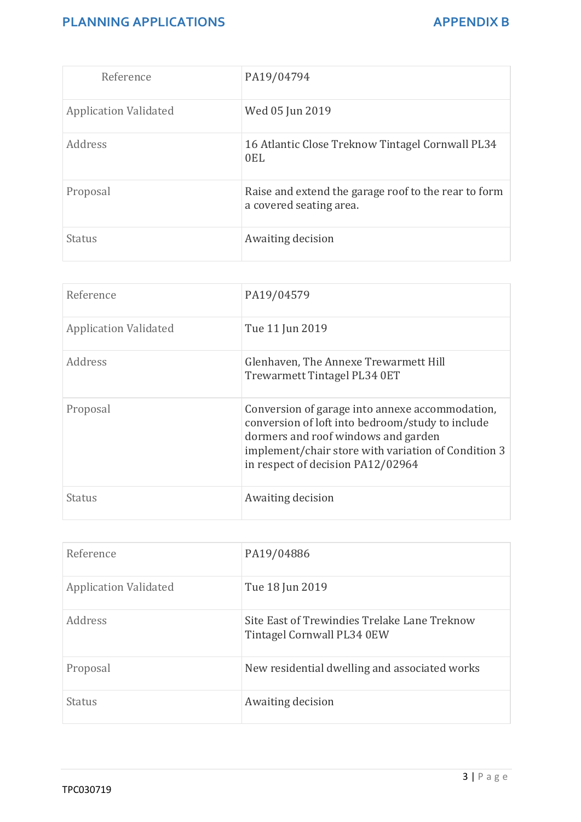# **PLANNING APPLICATIONS** APPENDIX B

| Reference                    | PA19/04794                                                                      |
|------------------------------|---------------------------------------------------------------------------------|
| <b>Application Validated</b> | Wed 05 Jun 2019                                                                 |
| Address                      | 16 Atlantic Close Treknow Tintagel Cornwall PL34<br>0EL                         |
| Proposal                     | Raise and extend the garage roof to the rear to form<br>a covered seating area. |
| <b>Status</b>                | Awaiting decision                                                               |

| Reference                    | PA19/04579                                                                                                                                                                                                                             |
|------------------------------|----------------------------------------------------------------------------------------------------------------------------------------------------------------------------------------------------------------------------------------|
| <b>Application Validated</b> | Tue 11 Jun 2019                                                                                                                                                                                                                        |
| Address                      | Glenhaven, The Annexe Trewarmett Hill<br>Trewarmett Tintagel PL34 0ET                                                                                                                                                                  |
| Proposal                     | Conversion of garage into annexe accommodation,<br>conversion of loft into bedroom/study to include<br>dormers and roof windows and garden<br>implement/chair store with variation of Condition 3<br>in respect of decision PA12/02964 |
| Status                       | Awaiting decision                                                                                                                                                                                                                      |

| Reference                    | PA19/04886                                                                 |
|------------------------------|----------------------------------------------------------------------------|
| <b>Application Validated</b> | Tue 18 Jun 2019                                                            |
| Address                      | Site East of Trewindies Trelake Lane Treknow<br>Tintagel Cornwall PL34 0EW |
| Proposal                     | New residential dwelling and associated works                              |
| Status                       | Awaiting decision                                                          |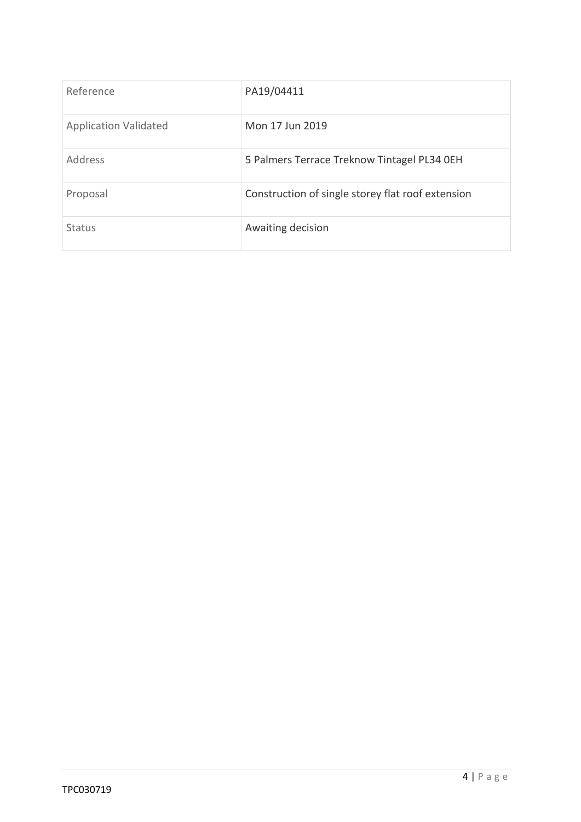| Reference                    | PA19/04411                                        |
|------------------------------|---------------------------------------------------|
| <b>Application Validated</b> | Mon 17 Jun 2019                                   |
| Address                      | 5 Palmers Terrace Treknow Tintagel PL34 OEH       |
| Proposal                     | Construction of single storey flat roof extension |
| <b>Status</b>                | Awaiting decision                                 |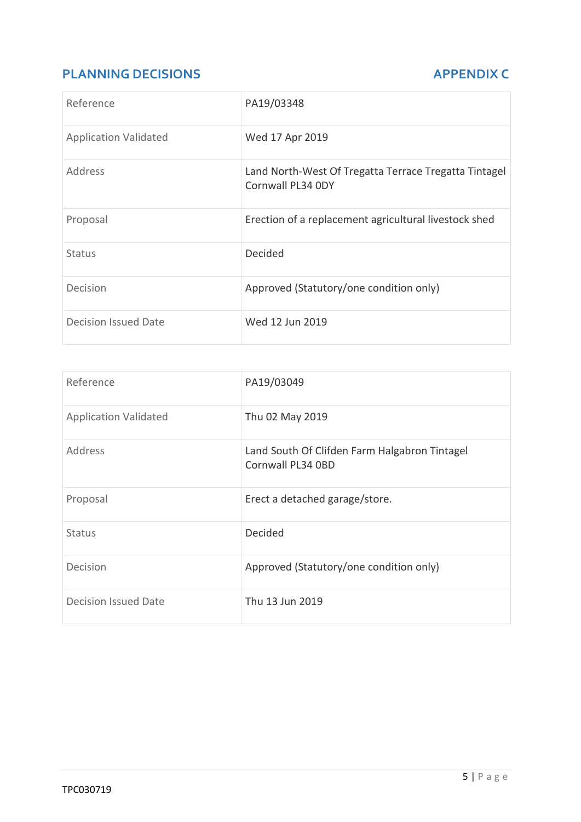# **PLANNING DECISIONS APPENDIX C**

| Reference                    | PA19/03348                                                                 |
|------------------------------|----------------------------------------------------------------------------|
| <b>Application Validated</b> | Wed 17 Apr 2019                                                            |
| Address                      | Land North-West Of Tregatta Terrace Tregatta Tintagel<br>Cornwall PL34 0DY |
| Proposal                     | Erection of a replacement agricultural livestock shed                      |
| <b>Status</b>                | Decided                                                                    |
| Decision                     | Approved (Statutory/one condition only)                                    |
| Decision Issued Date         | Wed 12 Jun 2019                                                            |

| Reference                    | PA19/03049                                                         |
|------------------------------|--------------------------------------------------------------------|
| <b>Application Validated</b> | Thu 02 May 2019                                                    |
| <b>Address</b>               | Land South Of Clifden Farm Halgabron Tintagel<br>Cornwall PL34 0BD |
| Proposal                     | Erect a detached garage/store.                                     |
| <b>Status</b>                | <b>Decided</b>                                                     |
| Decision                     | Approved (Statutory/one condition only)                            |
| <b>Decision Issued Date</b>  | Thu 13 Jun 2019                                                    |